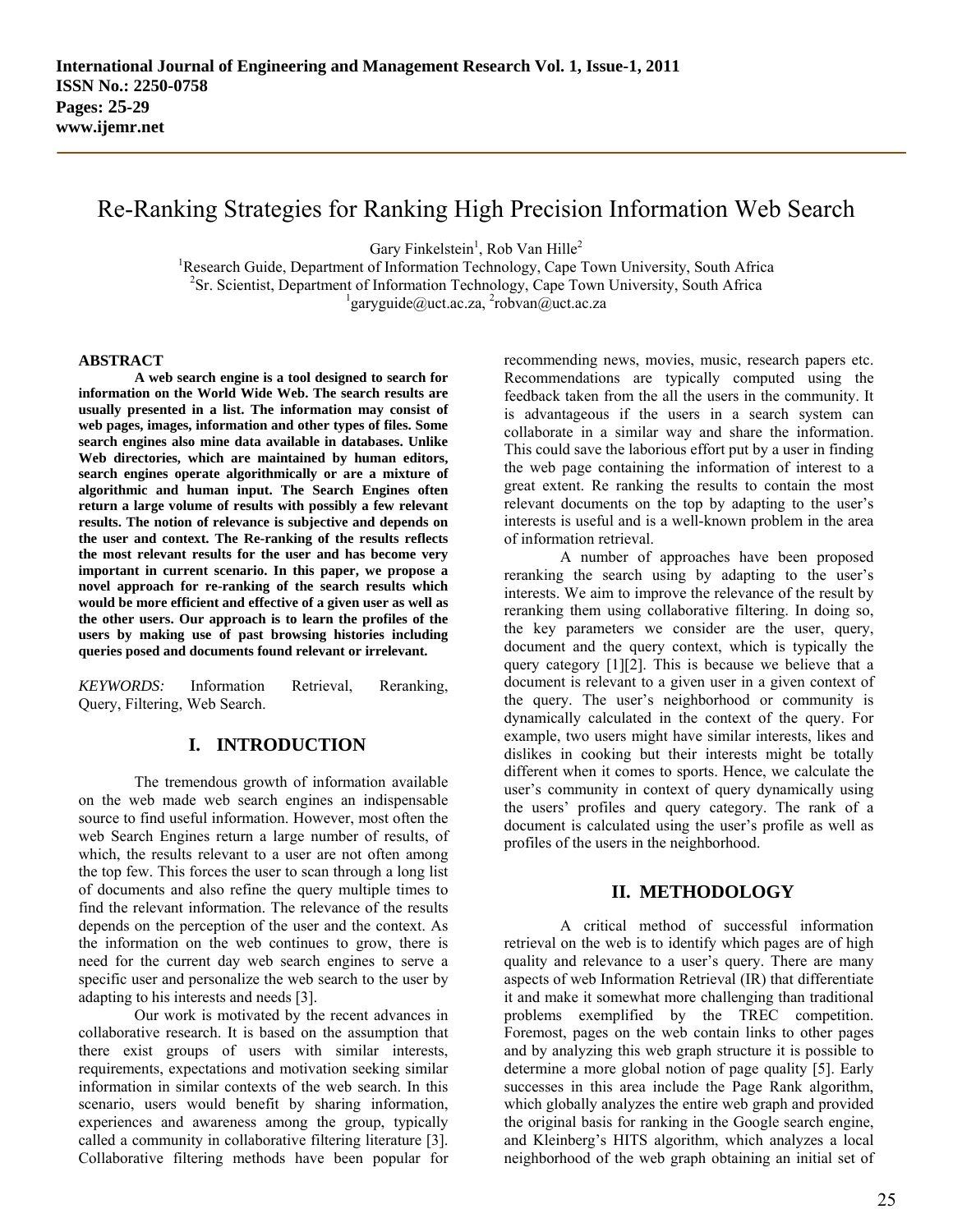# Re-Ranking Strategies for Ranking High Precision Information Web Search

Gary Finkelstein<sup>1</sup>, Rob Van Hille<sup>2</sup>

<sup>1</sup>Research Guide, Department of Information Technology, Cape Town University, South Africa <sup>2</sup>Sr. Scientist, Department of Information Technology, Cape Town University, South Africa garyguide@uct.ac.za,  $^{2}$ robvan@uct.ac.za

#### **ABSTRACT**

 **A web search engine is a tool designed to search for information on the World Wide Web. The search results are usually presented in a list. The information may consist of web pages, images, information and other types of files. Some search engines also mine data available in databases. Unlike Web directories, which are maintained by human editors, search engines operate algorithmically or are a mixture of algorithmic and human input. The Search Engines often return a large volume of results with possibly a few relevant results. The notion of relevance is subjective and depends on the user and context. The Re-ranking of the results reflects the most relevant results for the user and has become very important in current scenario. In this paper, we propose a novel approach for re-ranking of the search results which would be more efficient and effective of a given user as well as the other users. Our approach is to learn the profiles of the users by making use of past browsing histories including queries posed and documents found relevant or irrelevant.** 

*KEYWORDS:* Information Retrieval, Reranking, Query, Filtering, Web Search.

# **I. INTRODUCTION**

 The tremendous growth of information available on the web made web search engines an indispensable source to find useful information. However, most often the web Search Engines return a large number of results, of which, the results relevant to a user are not often among the top few. This forces the user to scan through a long list of documents and also refine the query multiple times to find the relevant information. The relevance of the results depends on the perception of the user and the context. As the information on the web continues to grow, there is need for the current day web search engines to serve a specific user and personalize the web search to the user by adapting to his interests and needs [3].

 Our work is motivated by the recent advances in collaborative research. It is based on the assumption that there exist groups of users with similar interests, requirements, expectations and motivation seeking similar information in similar contexts of the web search. In this scenario, users would benefit by sharing information, experiences and awareness among the group, typically called a community in collaborative filtering literature [3]. Collaborative filtering methods have been popular for recommending news, movies, music, research papers etc. Recommendations are typically computed using the feedback taken from the all the users in the community. It is advantageous if the users in a search system can collaborate in a similar way and share the information. This could save the laborious effort put by a user in finding the web page containing the information of interest to a great extent. Re ranking the results to contain the most relevant documents on the top by adapting to the user's interests is useful and is a well-known problem in the area of information retrieval.

 A number of approaches have been proposed reranking the search using by adapting to the user's interests. We aim to improve the relevance of the result by reranking them using collaborative filtering. In doing so, the key parameters we consider are the user, query, document and the query context, which is typically the query category [1][2]. This is because we believe that a document is relevant to a given user in a given context of the query. The user's neighborhood or community is dynamically calculated in the context of the query. For example, two users might have similar interests, likes and dislikes in cooking but their interests might be totally different when it comes to sports. Hence, we calculate the user's community in context of query dynamically using the users' profiles and query category. The rank of a document is calculated using the user's profile as well as profiles of the users in the neighborhood.

## **II. METHODOLOGY**

 A critical method of successful information retrieval on the web is to identify which pages are of high quality and relevance to a user's query. There are many aspects of web Information Retrieval (IR) that differentiate it and make it somewhat more challenging than traditional problems exemplified by the TREC competition. Foremost, pages on the web contain links to other pages and by analyzing this web graph structure it is possible to determine a more global notion of page quality [5]. Early successes in this area include the Page Rank algorithm, which globally analyzes the entire web graph and provided the original basis for ranking in the Google search engine, and Kleinberg's HITS algorithm, which analyzes a local neighborhood of the web graph obtaining an initial set of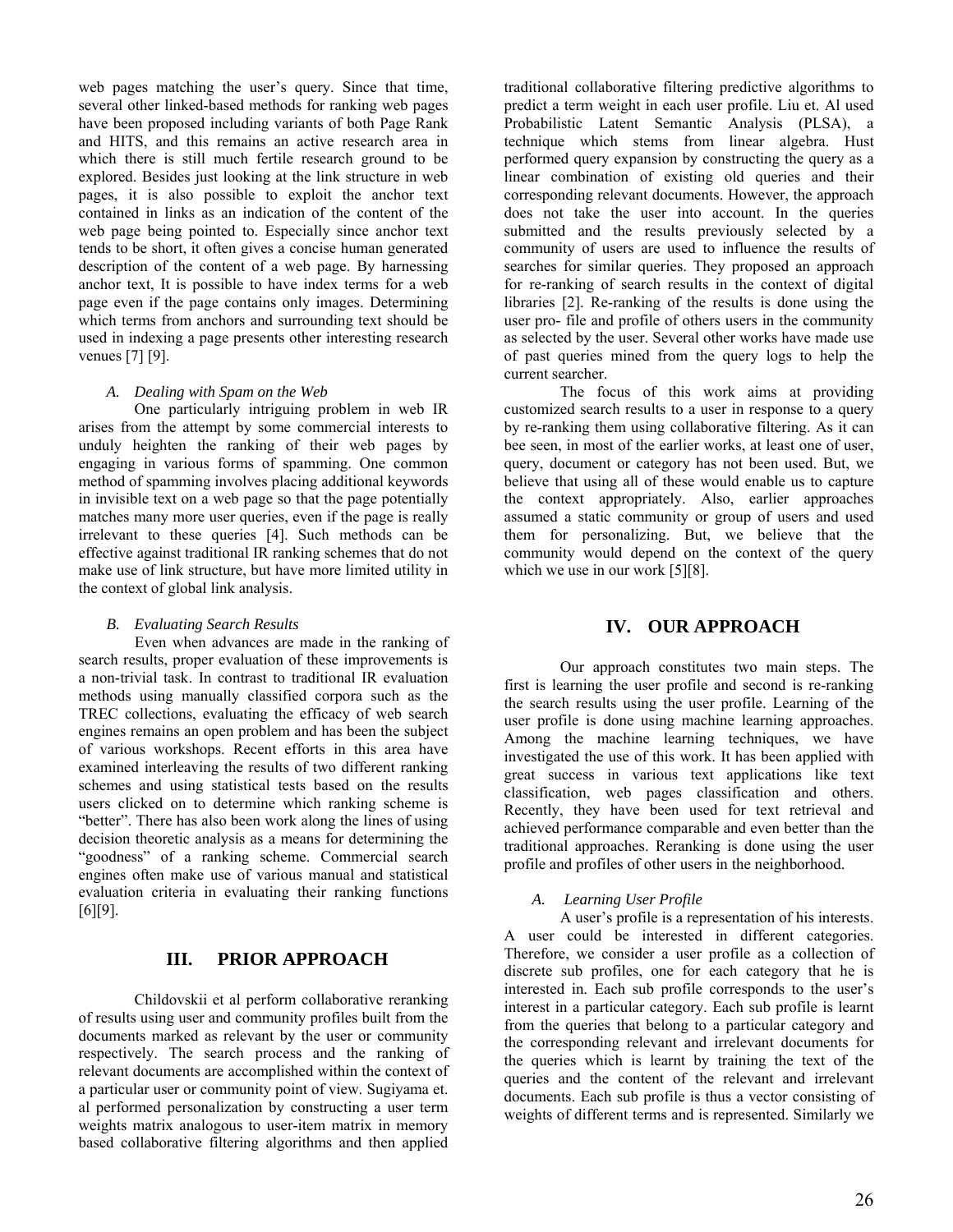web pages matching the user's query. Since that time, several other linked-based methods for ranking web pages have been proposed including variants of both Page Rank and HITS, and this remains an active research area in which there is still much fertile research ground to be explored. Besides just looking at the link structure in web pages, it is also possible to exploit the anchor text contained in links as an indication of the content of the web page being pointed to. Especially since anchor text tends to be short, it often gives a concise human generated description of the content of a web page. By harnessing anchor text, It is possible to have index terms for a web page even if the page contains only images. Determining which terms from anchors and surrounding text should be used in indexing a page presents other interesting research venues [7] [9].

## *A. Dealing with Spam on the Web*

 One particularly intriguing problem in web IR arises from the attempt by some commercial interests to unduly heighten the ranking of their web pages by engaging in various forms of spamming. One common method of spamming involves placing additional keywords in invisible text on a web page so that the page potentially matches many more user queries, even if the page is really irrelevant to these queries [4]. Such methods can be effective against traditional IR ranking schemes that do not make use of link structure, but have more limited utility in the context of global link analysis.

#### *B. Evaluating Search Results*

 Even when advances are made in the ranking of search results, proper evaluation of these improvements is a non-trivial task. In contrast to traditional IR evaluation methods using manually classified corpora such as the TREC collections, evaluating the efficacy of web search engines remains an open problem and has been the subject of various workshops. Recent efforts in this area have examined interleaving the results of two different ranking schemes and using statistical tests based on the results users clicked on to determine which ranking scheme is "better". There has also been work along the lines of using decision theoretic analysis as a means for determining the "goodness" of a ranking scheme. Commercial search engines often make use of various manual and statistical evaluation criteria in evaluating their ranking functions [6][9].

# **III. PRIOR APPROACH**

 Childovskii et al perform collaborative reranking of results using user and community profiles built from the documents marked as relevant by the user or community respectively. The search process and the ranking of relevant documents are accomplished within the context of a particular user or community point of view. Sugiyama et. al performed personalization by constructing a user term weights matrix analogous to user-item matrix in memory based collaborative filtering algorithms and then applied

traditional collaborative filtering predictive algorithms to predict a term weight in each user profile. Liu et. Al used Probabilistic Latent Semantic Analysis (PLSA), a technique which stems from linear algebra. Hust performed query expansion by constructing the query as a linear combination of existing old queries and their corresponding relevant documents. However, the approach does not take the user into account. In the queries submitted and the results previously selected by a community of users are used to influence the results of searches for similar queries. They proposed an approach for re-ranking of search results in the context of digital libraries [2]. Re-ranking of the results is done using the user pro- file and profile of others users in the community as selected by the user. Several other works have made use of past queries mined from the query logs to help the current searcher.

 The focus of this work aims at providing customized search results to a user in response to a query by re-ranking them using collaborative filtering. As it can bee seen, in most of the earlier works, at least one of user, query, document or category has not been used. But, we believe that using all of these would enable us to capture the context appropriately. Also, earlier approaches assumed a static community or group of users and used them for personalizing. But, we believe that the community would depend on the context of the query which we use in our work [5][8].

# **IV. OUR APPROACH**

 Our approach constitutes two main steps. The first is learning the user profile and second is re-ranking the search results using the user profile. Learning of the user profile is done using machine learning approaches. Among the machine learning techniques, we have investigated the use of this work. It has been applied with great success in various text applications like text classification, web pages classification and others. Recently, they have been used for text retrieval and achieved performance comparable and even better than the traditional approaches. Reranking is done using the user profile and profiles of other users in the neighborhood.

## *A. Learning User Profile*

 A user's profile is a representation of his interests. A user could be interested in different categories. Therefore, we consider a user profile as a collection of discrete sub profiles, one for each category that he is interested in. Each sub profile corresponds to the user's interest in a particular category. Each sub profile is learnt from the queries that belong to a particular category and the corresponding relevant and irrelevant documents for the queries which is learnt by training the text of the queries and the content of the relevant and irrelevant documents. Each sub profile is thus a vector consisting of weights of different terms and is represented. Similarly we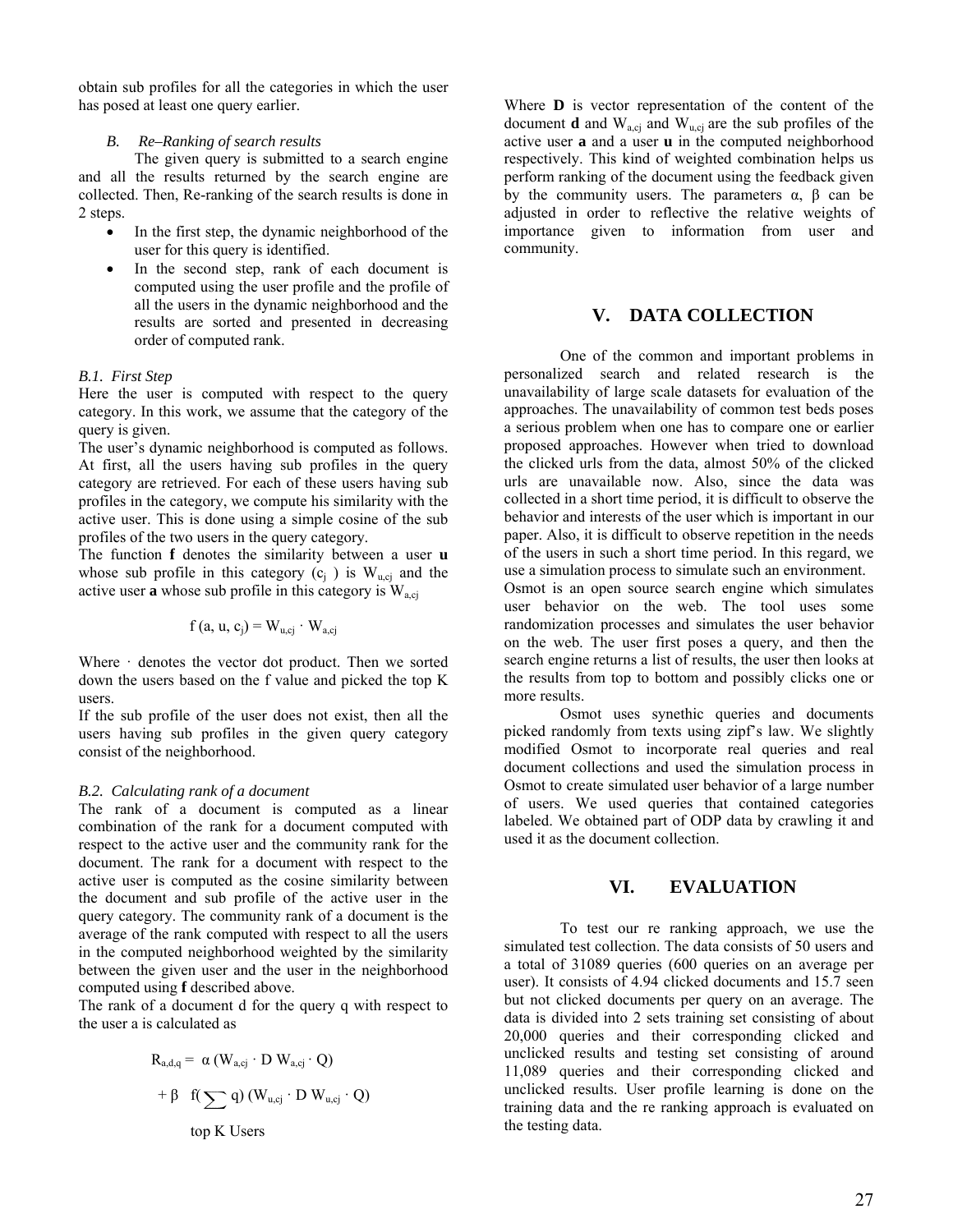obtain sub profiles for all the categories in which the user has posed at least one query earlier.

#### *B. Re–Ranking of search results*

 The given query is submitted to a search engine and all the results returned by the search engine are collected. Then, Re-ranking of the search results is done in 2 steps.

- In the first step, the dynamic neighborhood of the user for this query is identified.
- In the second step, rank of each document is computed using the user profile and the profile of all the users in the dynamic neighborhood and the results are sorted and presented in decreasing order of computed rank.

## *B.1. First Step*

Here the user is computed with respect to the query category. In this work, we assume that the category of the query is given.

The user's dynamic neighborhood is computed as follows. At first, all the users having sub profiles in the query category are retrieved. For each of these users having sub profiles in the category, we compute his similarity with the active user. This is done using a simple cosine of the sub profiles of the two users in the query category.

The function **f** denotes the similarity between a user **u**  whose sub profile in this category  $(c_i)$  is  $W_{u,c}$  and the active user **a** whose sub profile in this category is  $W_{\text{acj}}$ 

$$
f(a, u, c_j) = W_{u, cj} \cdot W_{a, cj}
$$

Where · denotes the vector dot product. Then we sorted down the users based on the f value and picked the top K users.

If the sub profile of the user does not exist, then all the users having sub profiles in the given query category consist of the neighborhood.

## *B.2. Calculating rank of a document*

The rank of a document is computed as a linear combination of the rank for a document computed with respect to the active user and the community rank for the document. The rank for a document with respect to the active user is computed as the cosine similarity between the document and sub profile of the active user in the query category. The community rank of a document is the average of the rank computed with respect to all the users in the computed neighborhood weighted by the similarity between the given user and the user in the neighborhood computed using **f** described above.

The rank of a document d for the query q with respect to the user a is calculated as

$$
R_{a,d,q} = \alpha (W_{a,cj} \cdot D W_{a,cj} \cdot Q)
$$
  
+  $\beta$  f( $\sum q$ ) (W<sub>u,cj</sub> \cdot D W<sub>u,cj</sub> \cdot Q)

top K Users

Where **D** is vector representation of the content of the document **d** and  $W_{a, cj}$  and  $W_{u, cj}$  are the sub profiles of the active user **a** and a user **u** in the computed neighborhood respectively. This kind of weighted combination helps us perform ranking of the document using the feedback given by the community users. The parameters  $\alpha$ , β can be adjusted in order to reflective the relative weights of importance given to information from user and community.

# **V. DATA COLLECTION**

 One of the common and important problems in personalized search and related research is the unavailability of large scale datasets for evaluation of the approaches. The unavailability of common test beds poses a serious problem when one has to compare one or earlier proposed approaches. However when tried to download the clicked urls from the data, almost 50% of the clicked urls are unavailable now. Also, since the data was collected in a short time period, it is difficult to observe the behavior and interests of the user which is important in our paper. Also, it is difficult to observe repetition in the needs of the users in such a short time period. In this regard, we use a simulation process to simulate such an environment.

Osmot is an open source search engine which simulates user behavior on the web. The tool uses some randomization processes and simulates the user behavior on the web. The user first poses a query, and then the search engine returns a list of results, the user then looks at the results from top to bottom and possibly clicks one or more results.

 Osmot uses synethic queries and documents picked randomly from texts using zipf's law. We slightly modified Osmot to incorporate real queries and real document collections and used the simulation process in Osmot to create simulated user behavior of a large number of users. We used queries that contained categories labeled. We obtained part of ODP data by crawling it and used it as the document collection.

# **VI. EVALUATION**

 To test our re ranking approach, we use the simulated test collection. The data consists of 50 users and a total of 31089 queries (600 queries on an average per user). It consists of 4.94 clicked documents and 15.7 seen but not clicked documents per query on an average. The data is divided into 2 sets training set consisting of about 20,000 queries and their corresponding clicked and unclicked results and testing set consisting of around 11,089 queries and their corresponding clicked and unclicked results. User profile learning is done on the training data and the re ranking approach is evaluated on the testing data.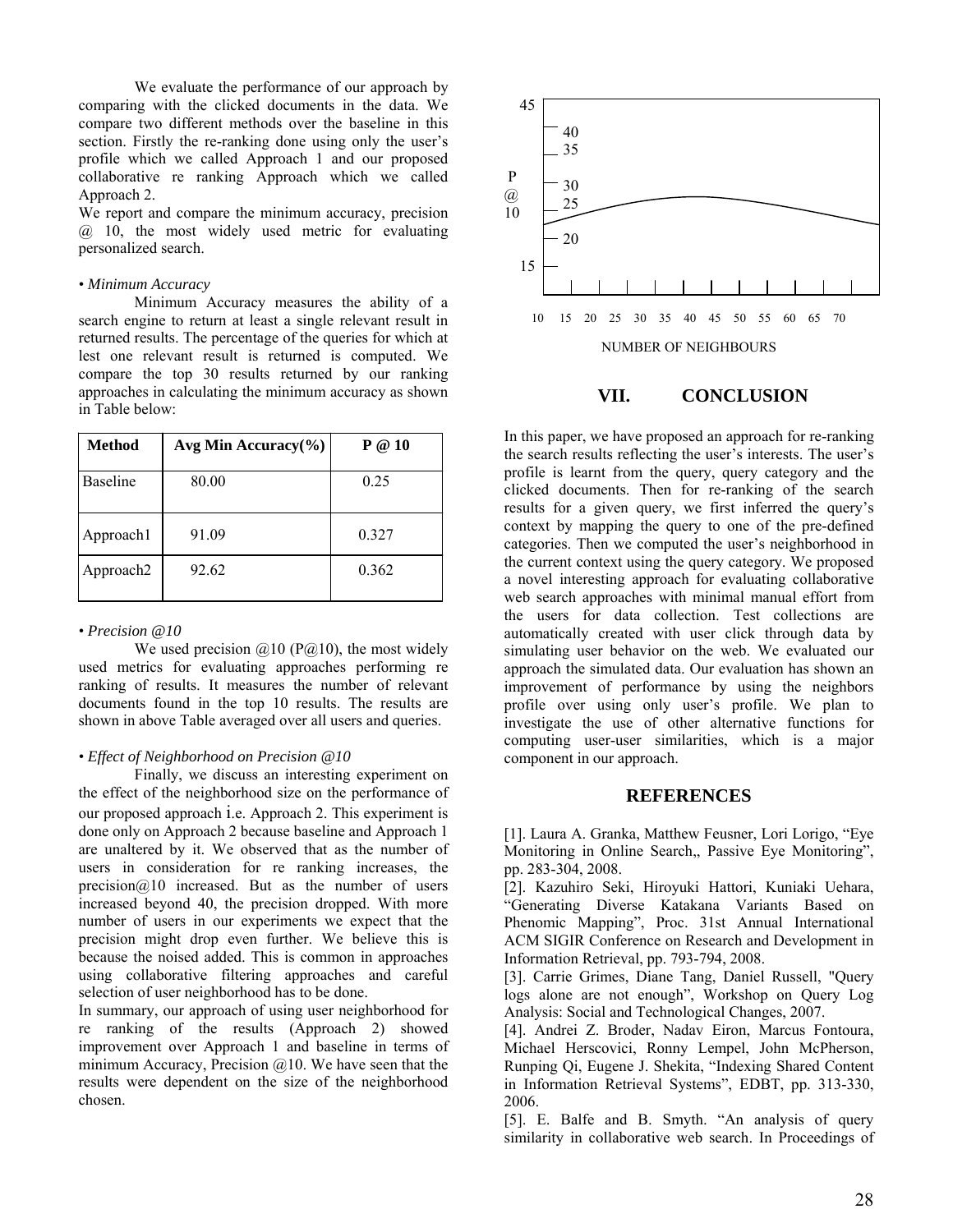We evaluate the performance of our approach by comparing with the clicked documents in the data. We compare two different methods over the baseline in this section. Firstly the re-ranking done using only the user's profile which we called Approach 1 and our proposed collaborative re ranking Approach which we called Approach 2.

We report and compare the minimum accuracy, precision @ 10, the most widely used metric for evaluating personalized search.

## *• Minimum Accuracy*

 Minimum Accuracy measures the ability of a search engine to return at least a single relevant result in returned results. The percentage of the queries for which at lest one relevant result is returned is computed. We compare the top 30 results returned by our ranking approaches in calculating the minimum accuracy as shown in Table below:

| Method          | Avg Min Accuracy $(\% )$ | P @ 10 |
|-----------------|--------------------------|--------|
| <b>Baseline</b> | 80.00                    | 0.25   |
| Approach1       | 91.09                    | 0.327  |
| Approach2       | 92.62                    | 0.362  |

#### *• Precision @10*

We used precision  $(a)$ 10 (P $(a)$ 10), the most widely used metrics for evaluating approaches performing re ranking of results. It measures the number of relevant documents found in the top 10 results. The results are shown in above Table averaged over all users and queries.

#### *• Effect of Neighborhood on Precision @10*

 Finally, we discuss an interesting experiment on the effect of the neighborhood size on the performance of our proposed approach i.e. Approach 2. This experiment is done only on Approach 2 because baseline and Approach 1 are unaltered by it. We observed that as the number of users in consideration for re ranking increases, the precision $@10$  increased. But as the number of users increased beyond 40, the precision dropped. With more number of users in our experiments we expect that the precision might drop even further. We believe this is because the noised added. This is common in approaches using collaborative filtering approaches and careful selection of user neighborhood has to be done.

In summary, our approach of using user neighborhood for re ranking of the results (Approach 2) showed improvement over Approach 1 and baseline in terms of minimum Accuracy, Precision  $(a)$ 10. We have seen that the results were dependent on the size of the neighborhood chosen.



# **VII. CONCLUSION**

In this paper, we have proposed an approach for re-ranking the search results reflecting the user's interests. The user's profile is learnt from the query, query category and the clicked documents. Then for re-ranking of the search results for a given query, we first inferred the query's context by mapping the query to one of the pre-defined categories. Then we computed the user's neighborhood in the current context using the query category. We proposed a novel interesting approach for evaluating collaborative web search approaches with minimal manual effort from the users for data collection. Test collections are automatically created with user click through data by simulating user behavior on the web. We evaluated our approach the simulated data. Our evaluation has shown an improvement of performance by using the neighbors profile over using only user's profile. We plan to investigate the use of other alternative functions for computing user-user similarities, which is a major component in our approach.

## **REFERENCES**

[1]. Laura A. Granka, Matthew Feusner, Lori Lorigo, "Eye Monitoring in Online Search,, Passive Eye Monitoring", pp. 283-304, 2008.

[2]. Kazuhiro Seki, Hiroyuki Hattori, Kuniaki Uehara, "Generating Diverse Katakana Variants Based on Phenomic Mapping", Proc. 31st Annual International ACM SIGIR Conference on Research and Development in Information Retrieval, pp. 793-794, 2008.

[3]. Carrie Grimes, Diane Tang, Daniel Russell, "Query logs alone are not enough", Workshop on Query Log Analysis: Social and Technological Changes, 2007.

[4]. Andrei Z. Broder, Nadav Eiron, Marcus Fontoura, Michael Herscovici, Ronny Lempel, John McPherson, Runping Qi, Eugene J. Shekita, "Indexing Shared Content in Information Retrieval Systems", EDBT, pp. 313-330, 2006.

[5]. E. Balfe and B. Smyth. "An analysis of query similarity in collaborative web search. In Proceedings of